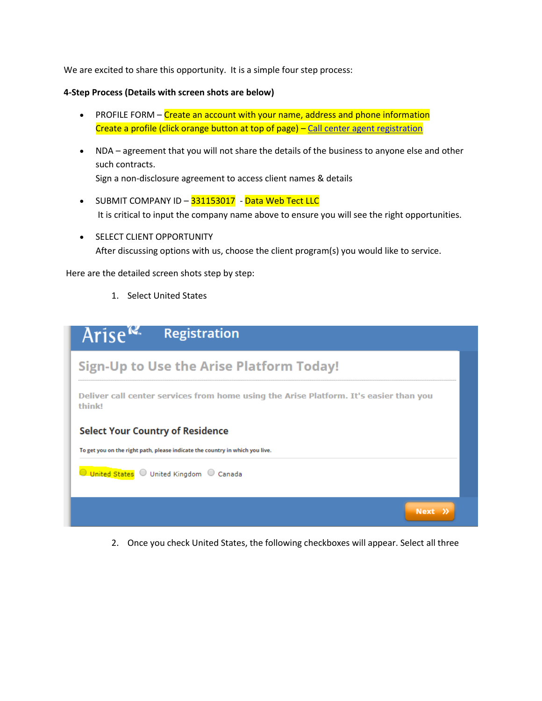We are excited to share this opportunity. It is a simple four step process:

#### **4-Step Process (Details with screen shots are below)**

- PROFILE FORM Create an account with your name, address and phone information Create a profile (click orange button at top of page) – [Call center agent registration](https://partnersetup.arise.com/united-states-english/create-user-profile.aspx?utm_campaign=BG_SERAD_2016-7-22_Branding&_ga=2.24750648.362782652.1547788550-1641626266.1547788550&cookieCheck=true)
- NDA agreement that you will not share the details of the business to anyone else and other such contracts. Sign a non-disclosure agreement to access client names & details
- SUBMIT COMPANY ID 331153017 Data Web Tect LLC It is critical to input the company name above to ensure you will see the right opportunities.
- **SELECT CLIENT OPPORTUNITY** After discussing options with us, choose the client program(s) you would like to service.

Here are the detailed screen shots step by step:

1. Select United States

| Arise <sup>re</sup> | <b>Registration</b>                                                                   |
|---------------------|---------------------------------------------------------------------------------------|
|                     | <b>Sign-Up to Use the Arise Platform Today!</b>                                       |
| think!              | Deliver call center services from home using the Arise Platform. It's easier than you |
|                     | <b>Select Your Country of Residence</b>                                               |
|                     | To get you on the right path, please indicate the country in which you live.          |
|                     | O United States O United Kingdom O Canada                                             |
|                     | Next                                                                                  |

2. Once you check United States, the following checkboxes will appear. Select all three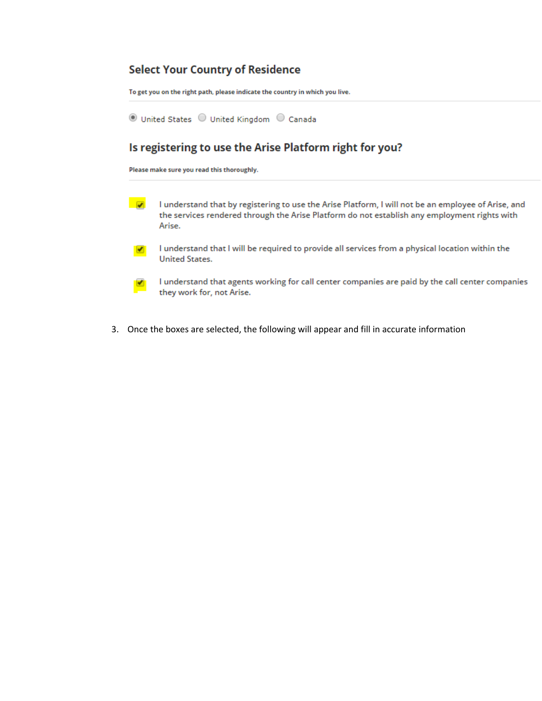# **Select Your Country of Residence**

To get you on the right path, please indicate the country in which you live.

◎ United States ○ United Kingdom ○ Canada

# Is registering to use the Arise Platform right for you?

Please make sure you read this thoroughly.

- $\overline{\mathbf{v}}$ I understand that by registering to use the Arise Platform, I will not be an employee of Arise, and the services rendered through the Arise Platform do not establish any employment rights with Arise.
- I understand that I will be required to provide all services from a physical location within the  $\blacktriangleright$ **United States.**
- I understand that agents working for call center companies are paid by the call center companies ◢ they work for, not Arise.
- 3. Once the boxes are selected, the following will appear and fill in accurate information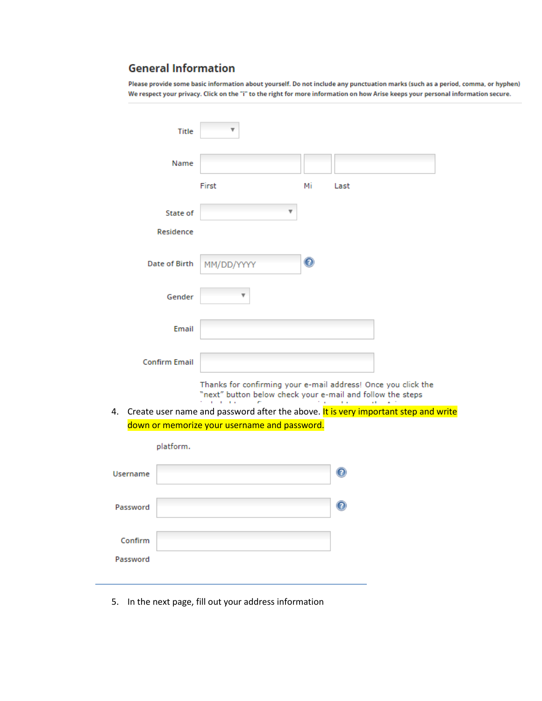# **General Information**

Please provide some basic information about yourself. Do not include any punctuation marks (such as a period, comma, or hyphen) We respect your privacy. Click on the "i" to the right for more information on how Arise keeps your personal information secure.

|                 | <b>Title</b>         |                                                                                                                             |             |             |  |
|-----------------|----------------------|-----------------------------------------------------------------------------------------------------------------------------|-------------|-------------|--|
|                 | Name                 |                                                                                                                             |             |             |  |
|                 |                      | First                                                                                                                       | Мi          | Last        |  |
|                 | State of             |                                                                                                                             |             |             |  |
|                 | Residence            |                                                                                                                             |             |             |  |
|                 | <b>Date of Birth</b> | MM/DD/YYYY                                                                                                                  | $\mathbf 0$ |             |  |
|                 | Gender               |                                                                                                                             |             |             |  |
|                 | Email                |                                                                                                                             |             |             |  |
|                 | <b>Confirm Email</b> |                                                                                                                             |             |             |  |
|                 |                      | Thanks for confirming your e-mail address! Once you click the<br>"next" button below check your e-mail and follow the steps |             |             |  |
| 4.              |                      | Create user name and password after the above. It is very important step and write                                          |             |             |  |
|                 |                      | down or memorize your username and password.                                                                                |             |             |  |
|                 | platform.            |                                                                                                                             |             |             |  |
| <b>Username</b> |                      |                                                                                                                             |             | $\mathbf 0$ |  |
| Password        |                      |                                                                                                                             |             |             |  |
| Confirm         |                      |                                                                                                                             |             |             |  |
| Password        |                      |                                                                                                                             |             |             |  |

5. In the next page, fill out your address information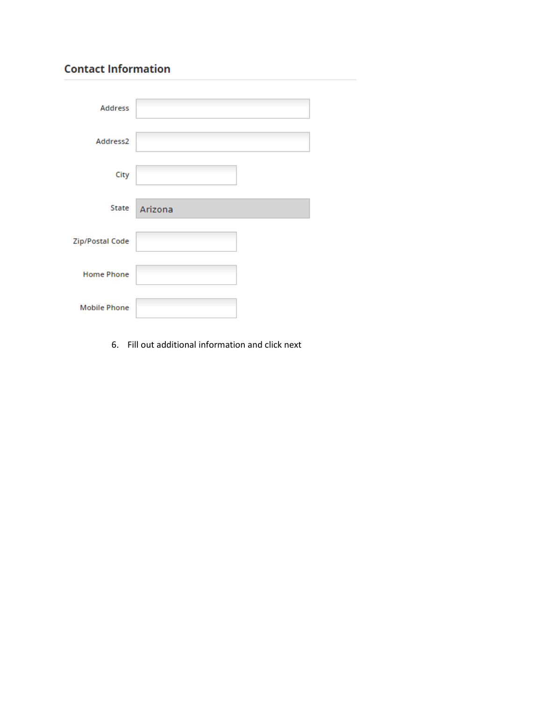# **Contact Information**

| <b>Address</b>      |         |  |
|---------------------|---------|--|
|                     |         |  |
| Address2            |         |  |
|                     |         |  |
| City                |         |  |
|                     |         |  |
| State               | Arizona |  |
| Zip/Postal Code     |         |  |
|                     |         |  |
| <b>Home Phone</b>   |         |  |
|                     |         |  |
| <b>Mobile Phone</b> |         |  |

6. Fill out additional information and click next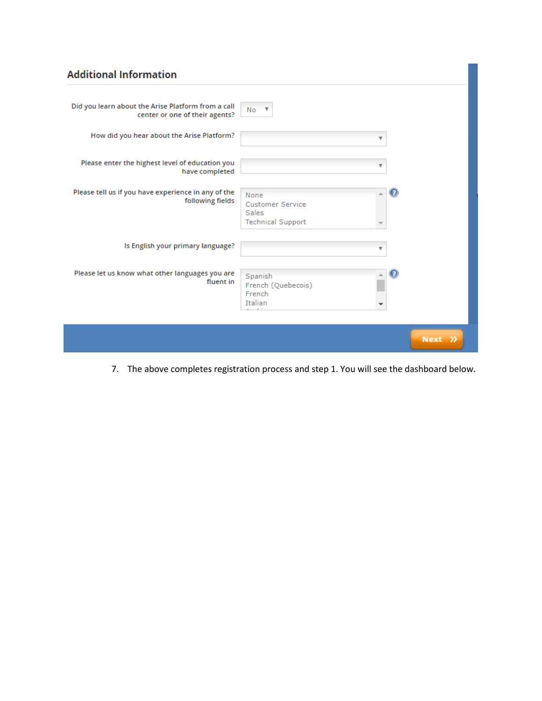# **Additional Information**

| Did you learn about the Arise Platform from a call<br>center or one of their agents? | <b>No</b><br>$\overline{\mathbf{v}}$                                        |           |
|--------------------------------------------------------------------------------------|-----------------------------------------------------------------------------|-----------|
| How did you hear about the Arise Platform?                                           |                                                                             |           |
| Please enter the highest level of education you<br>have completed                    | v                                                                           |           |
| Please tell us if you have experience in any of the<br>following fields              | None<br><b>Customer Service</b><br><b>Sales</b><br><b>Technical Support</b> | (2)       |
| Is English your primary language?                                                    |                                                                             |           |
| Please let us know what other languages you are<br>fluent in                         | Spanish<br>French (Quebecois)<br>French<br>Italian                          |           |
|                                                                                      |                                                                             | $Next \n$ |

7. The above completes registration process and step 1. You will see the dashboard below.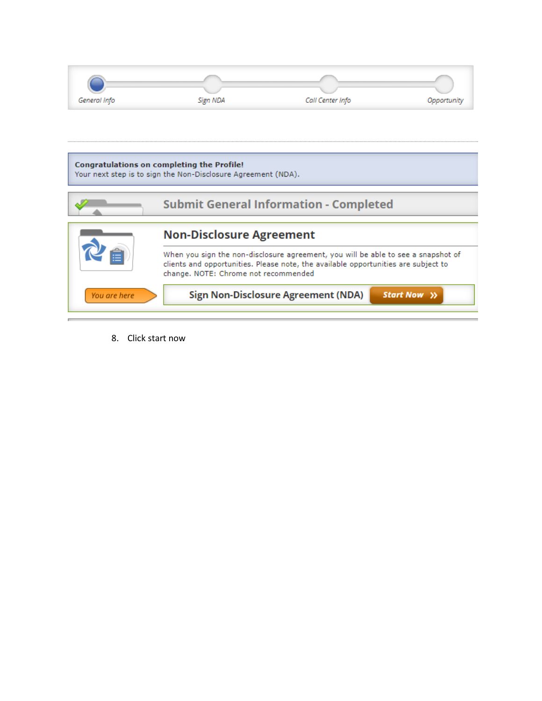| General Info | Sign NDA                                                                                                    | Call Center Info |  |
|--------------|-------------------------------------------------------------------------------------------------------------|------------------|--|
|              |                                                                                                             |                  |  |
|              |                                                                                                             |                  |  |
|              | Congratulations on completing the Profile!<br>Your next step is to sign the Non-Disclosure Agreement (NDA). |                  |  |
|              |                                                                                                             |                  |  |



8. Click start now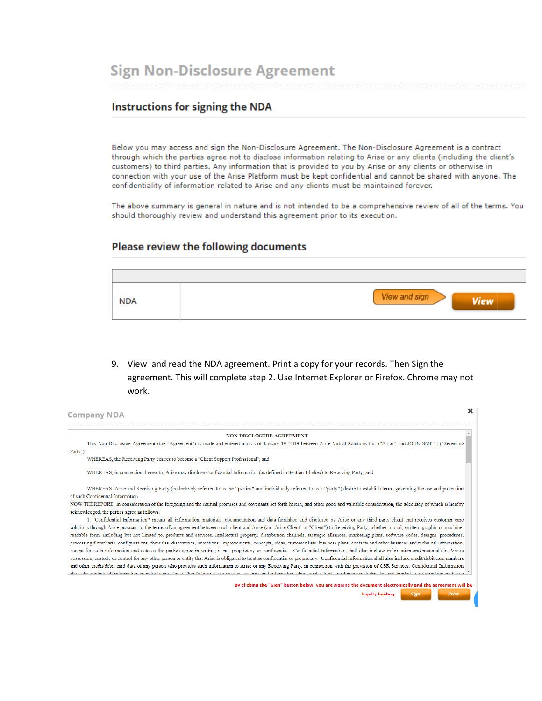### **Instructions for signing the NDA**

Below you may access and sign the Non-Disclosure Agreement. The Non-Disclosure Agreement is a contract through which the parties agree not to disclose information relating to Arise or any clients (including the client's customers) to third parties. Any information that is provided to you by Arise or any clients or otherwise in connection with your use of the Arise Platform must be kept confidential and cannot be shared with anyone. The confidentiality of information related to Arise and any clients must be maintained forever.

The above summary is general in nature and is not intended to be a comprehensive review of all of the terms. You should thoroughly review and understand this agreement prior to its execution.

### Please review the following documents



9. View and read the NDA agreement. Print a copy for your records. Then Sign the agreement. This will complete step 2. Use Internet Explorer or Firefox. Chrome may not work.

| ×<br><b>Company NDA</b>                                                                                                                                                                                                                                                                                                                                                                                                                                                                                                                                                                                                                                                                                                                                                                                                                                                                                                                                                                                                                                                                                                                                                                |
|----------------------------------------------------------------------------------------------------------------------------------------------------------------------------------------------------------------------------------------------------------------------------------------------------------------------------------------------------------------------------------------------------------------------------------------------------------------------------------------------------------------------------------------------------------------------------------------------------------------------------------------------------------------------------------------------------------------------------------------------------------------------------------------------------------------------------------------------------------------------------------------------------------------------------------------------------------------------------------------------------------------------------------------------------------------------------------------------------------------------------------------------------------------------------------------|
| <b>NON-DISCLOSURE AGREEMENT</b>                                                                                                                                                                                                                                                                                                                                                                                                                                                                                                                                                                                                                                                                                                                                                                                                                                                                                                                                                                                                                                                                                                                                                        |
| This Non-Disclosure Agreement (the "Agreement") is made and entered into as of January 19, 2019 between Arise Virtual Solutions Inc. ("Arise") and JOHN SMITH ("Receiving<br>Party")                                                                                                                                                                                                                                                                                                                                                                                                                                                                                                                                                                                                                                                                                                                                                                                                                                                                                                                                                                                                   |
| WHEREAS, the Receiving Party desires to become a "Client Support Professional"; and                                                                                                                                                                                                                                                                                                                                                                                                                                                                                                                                                                                                                                                                                                                                                                                                                                                                                                                                                                                                                                                                                                    |
| WHEREAS, in connection therewith. Arise may disclose Confidential Information (as defined in Section 1 below) to Receiving Party; and                                                                                                                                                                                                                                                                                                                                                                                                                                                                                                                                                                                                                                                                                                                                                                                                                                                                                                                                                                                                                                                  |
| WHEREAS, Arise and Receiving Party (collectively referred to as the "parties" and individually referred to as a "party") desire to establish terms governing the use and protection<br>of such Confidential Information.                                                                                                                                                                                                                                                                                                                                                                                                                                                                                                                                                                                                                                                                                                                                                                                                                                                                                                                                                               |
| NOW THEREFORE, in consideration of the foregoing and the mutual promises and covenants set forth herein, and other good and valuable consideration, the adequacy of which is hereby<br>acknowledged, the parties agree as follows:                                                                                                                                                                                                                                                                                                                                                                                                                                                                                                                                                                                                                                                                                                                                                                                                                                                                                                                                                     |
| 1. "Confidential Information" means all information, materials, documentation and data furnished and disclosed by Arise or any third party client that receives customer care<br>solutions through Arise pursuant to the terms of an agreement between such client and Arise (an "Arise Client" or "Client") to Receiving Party, whether in oral, written, graphic or machine-<br>readable form, including but not limited to, products and services, intellectual property, distribution channels, strategic alliances, marketing plans, software codes, designs, procedures,<br>processing flowcharts, configurations, formulas, discoveries, inventions, improvements, concepts, ideas, customer lists, business plans, contacts and other business and technical information,<br>except for such information and data as the parties agree in writing is not proprietary or confidential. Confidential Information shall also include information and materials in Arise's<br>possession, custody or control for any other person or entity that Arise is obligated to treat as confidential or proprietary. Confidential Information shall also include credit/debit card numbers |
| and other credit/debit card data of any person who provides such information to Arise or any Receiving Party, in connection with the provision of CSR Services. Confidential Information<br>chall also include all information specific to any Arise Client's husiness processes systems and information about such Client's customers including but not limited to information such as a                                                                                                                                                                                                                                                                                                                                                                                                                                                                                                                                                                                                                                                                                                                                                                                              |
| By clicking the "Sign" button below, you are signing the document electronically and the agreement will be                                                                                                                                                                                                                                                                                                                                                                                                                                                                                                                                                                                                                                                                                                                                                                                                                                                                                                                                                                                                                                                                             |
| <b>Print</b><br>legally binding.<br>Sign                                                                                                                                                                                                                                                                                                                                                                                                                                                                                                                                                                                                                                                                                                                                                                                                                                                                                                                                                                                                                                                                                                                                               |
|                                                                                                                                                                                                                                                                                                                                                                                                                                                                                                                                                                                                                                                                                                                                                                                                                                                                                                                                                                                                                                                                                                                                                                                        |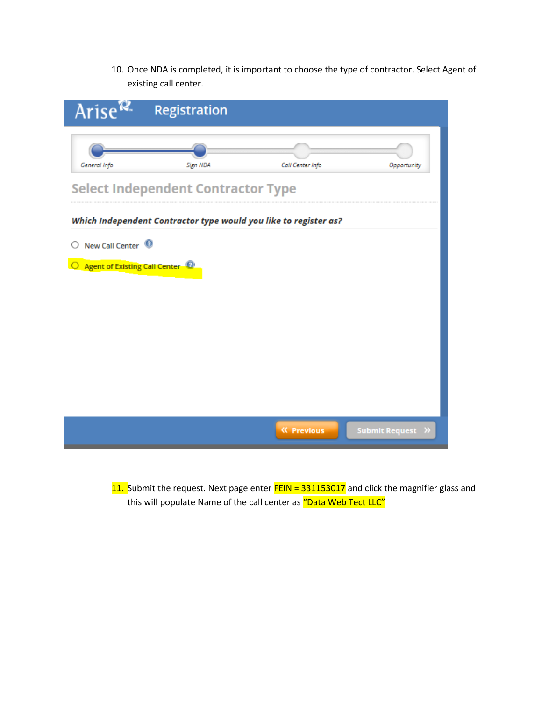10. Once NDA is completed, it is important to choose the type of contractor. Select Agent of existing call center.

| Arise $\mathbb{R}$                           | Registration                                                     |                   |                   |
|----------------------------------------------|------------------------------------------------------------------|-------------------|-------------------|
| General Info                                 | Sign NDA                                                         | Call Center Info  | Opportunity       |
|                                              | <b>Select Independent Contractor Type</b>                        |                   |                   |
|                                              | Which Independent Contractor type would you like to register as? |                   |                   |
| New Call Center <sup>1</sup>                 |                                                                  |                   |                   |
| ○ Agent of Existing Call Center <sup>◎</sup> |                                                                  |                   |                   |
|                                              |                                                                  |                   |                   |
|                                              |                                                                  |                   |                   |
|                                              |                                                                  |                   |                   |
|                                              |                                                                  |                   |                   |
|                                              |                                                                  | <b>K</b> Previous | Submit Request >> |

11. Submit the request. Next page enter FEIN = 331153017 and click the magnifier glass and this will populate Name of the call center as "Data Web Tect LLC"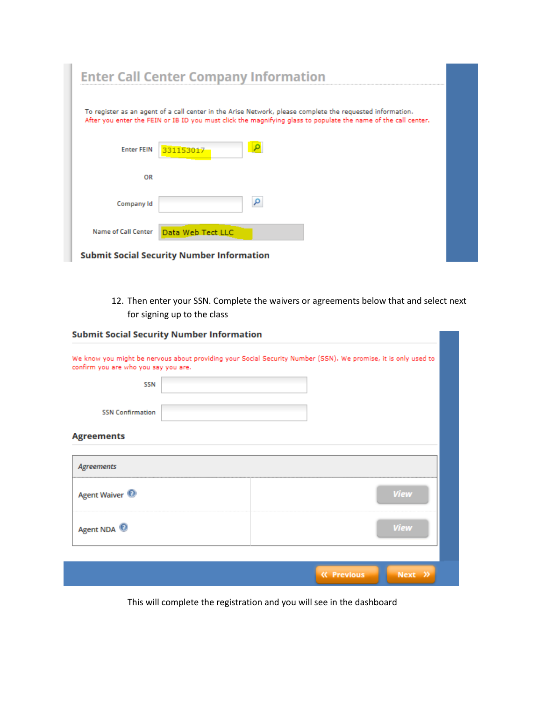|                            | <b>Enter Call Center Company Information</b>                                                                                                                                                                                |
|----------------------------|-----------------------------------------------------------------------------------------------------------------------------------------------------------------------------------------------------------------------------|
|                            | To register as an agent of a call center in the Arise Network, please complete the requested information.<br>After you enter the FEIN or IB ID you must click the magnifying glass to populate the name of the call center. |
| <b>Enter FEIN</b>          | 331153017                                                                                                                                                                                                                   |
| OR                         |                                                                                                                                                                                                                             |
| Company Id                 | م                                                                                                                                                                                                                           |
| <b>Name of Call Center</b> | Data Web Tect LLC                                                                                                                                                                                                           |
|                            | <b>Submit Social Security Number Information</b>                                                                                                                                                                            |

12. Then enter your SSN. Complete the waivers or agreements below that and select next for signing up to the class

| <b>Submit Social Security Number Information</b> | We know you might be nervous about providing your Social Security Number (SSN). We promise, it is only used to |
|--------------------------------------------------|----------------------------------------------------------------------------------------------------------------|
| confirm you are who you say you are.             |                                                                                                                |
| <b>SSN</b>                                       |                                                                                                                |
| <b>SSN Confirmation</b>                          |                                                                                                                |
| <b>Agreements</b>                                |                                                                                                                |
| <b>Agreements</b>                                |                                                                                                                |
| Agent Waiver <sup><sup>1</sup></sup>             | <b>View</b>                                                                                                    |
| Agent NDA                                        | <b>View</b>                                                                                                    |
|                                                  |                                                                                                                |
|                                                  | Next >><br><b>K</b> Previous                                                                                   |

This will complete the registration and you will see in the dashboard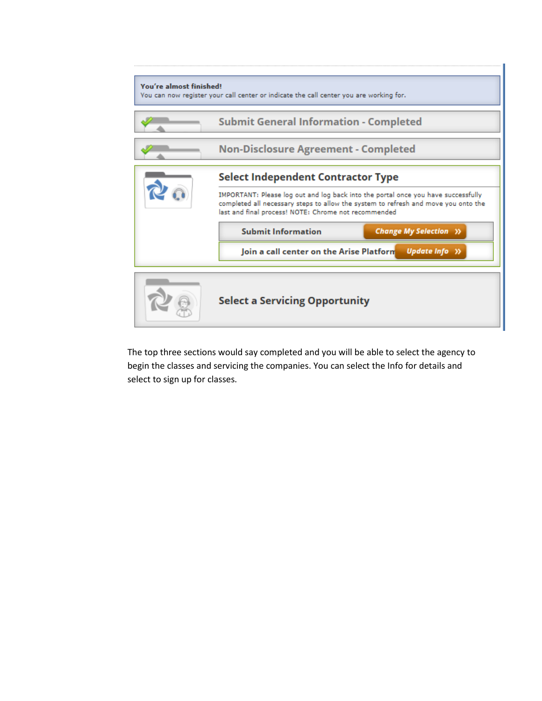

The top three sections would say completed and you will be able to select the agency to begin the classes and servicing the companies. You can select the Info for details and select to sign up for classes.